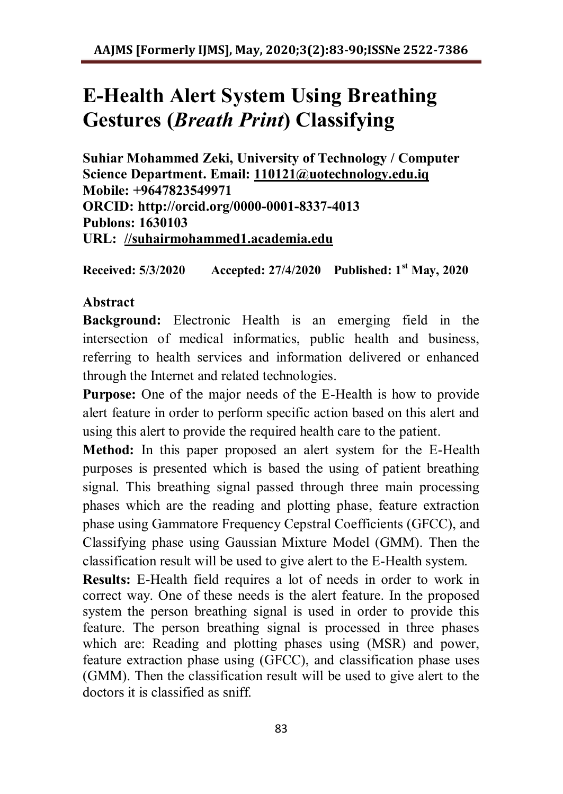# **E-Health Alert System Using Breathing Gestures (***Breath Print***) Classifying**

**Suhiar Mohammed Zeki, University of Technology / Computer Science Department. Email: [110121@uotechnology.edu.iq](mailto:110121@uotechnology.edu.iq) Mobile: +9647823549971 ORCID: http://orcid.org/0000-0001-8337-4013 Publons: 1630103 URL: [//suhairmohammed1.academia.edu](https://suhairmohammed1.academia.edu/)**

**Received: 5/3/2020 Accepted: 27/4/2020 Published: 1st May, 2020**

# **Abstract**

**Background:** Electronic Health is an emerging field in the intersection of medical informatics, public health and business, referring to health services and information delivered or enhanced through the Internet and related technologies.

**Purpose:** One of the major needs of the E-Health is how to provide alert feature in order to perform specific action based on this alert and using this alert to provide the required health care to the patient.

**Method:** In this paper proposed an alert system for the E-Health purposes is presented which is based the using of patient breathing signal. This breathing signal passed through three main processing phases which are the reading and plotting phase, feature extraction phase using Gammatore Frequency Cepstral Coefficients (GFCC), and Classifying phase using Gaussian Mixture Model (GMM). Then the classification result will be used to give alert to the E-Health system.

**Results:** E-Health field requires a lot of needs in order to work in correct way. One of these needs is the alert feature. In the proposed system the person breathing signal is used in order to provide this feature. The person breathing signal is processed in three phases which are: Reading and plotting phases using (MSR) and power, feature extraction phase using (GFCC), and classification phase uses (GMM). Then the classification result will be used to give alert to the doctors it is classified as sniff.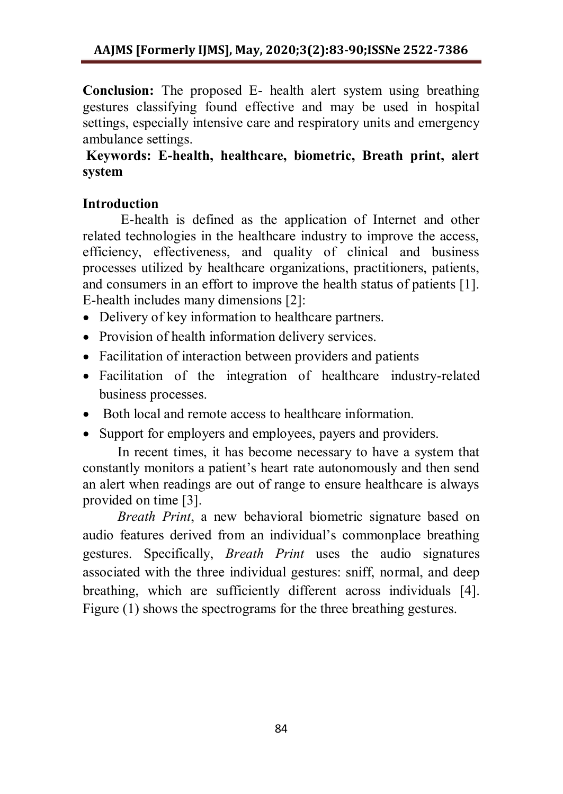**Conclusion:** The proposed E- health alert system using breathing gestures classifying found effective and may be used in hospital settings, especially intensive care and respiratory units and emergency ambulance settings.

# **Keywords: E-health, healthcare, biometric, Breath print, alert system**

# **Introduction**

 E-health is defined as the application of Internet and other related technologies in the healthcare industry to improve the access, efficiency, effectiveness, and quality of clinical and business processes utilized by healthcare organizations, practitioners, patients, and consumers in an effort to improve the health status of patients [1]. E-health includes many dimensions [2]:

- Delivery of key information to healthcare partners.
- Provision of health information delivery services.
- Facilitation of interaction between providers and patients
- Facilitation of the integration of healthcare industry-related business processes.
- Both local and remote access to healthcare information.
- Support for employers and employees, payers and providers.

 In recent times, it has become necessary to have a system that constantly monitors a patient's heart rate autonomously and then send an alert when readings are out of range to ensure healthcare is always provided on time [3].

 *Breath Print*, a new behavioral biometric signature based on audio features derived from an individual's commonplace breathing gestures. Specifically, *Breath Print* uses the audio signatures associated with the three individual gestures: sniff, normal, and deep breathing, which are sufficiently different across individuals [4]. Figure (1) shows the spectrograms for the three breathing gestures.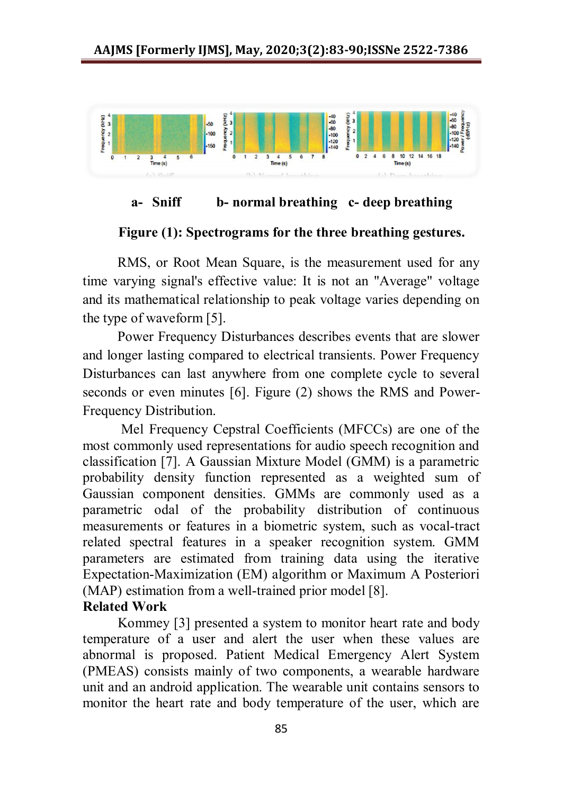

## **a- Sniff b- normal breathing c- deep breathing**

#### **Figure (1): Spectrograms for the three breathing gestures.**

 RMS, or Root Mean Square, is the measurement used for any time varying signal's effective value: It is not an "Average" voltage and its mathematical relationship to peak voltage varies depending on the type of waveform [5].

 Power Frequency Disturbances describes events that are slower and longer lasting compared to electrical transients. Power Frequency Disturbances can last anywhere from one complete cycle to several seconds or even minutes [6]. Figure (2) shows the RMS and Power-Frequency Distribution.

 Mel Frequency Cepstral Coefficients (MFCCs) are one of the most commonly used representations for audio speech recognition and classification [7]. A Gaussian Mixture Model (GMM) is a parametric probability density function represented as a weighted sum of Gaussian component densities. GMMs are commonly used as a parametric odal of the probability distribution of continuous measurements or features in a biometric system, such as vocal-tract related spectral features in a speaker recognition system. GMM parameters are estimated from training data using the iterative Expectation-Maximization (EM) algorithm or Maximum A Posteriori (MAP) estimation from a well-trained prior model [8].

#### **Related Work**

 Kommey [3] presented a system to monitor heart rate and body temperature of a user and alert the user when these values are abnormal is proposed. Patient Medical Emergency Alert System (PMEAS) consists mainly of two components, a wearable hardware unit and an android application. The wearable unit contains sensors to monitor the heart rate and body temperature of the user, which are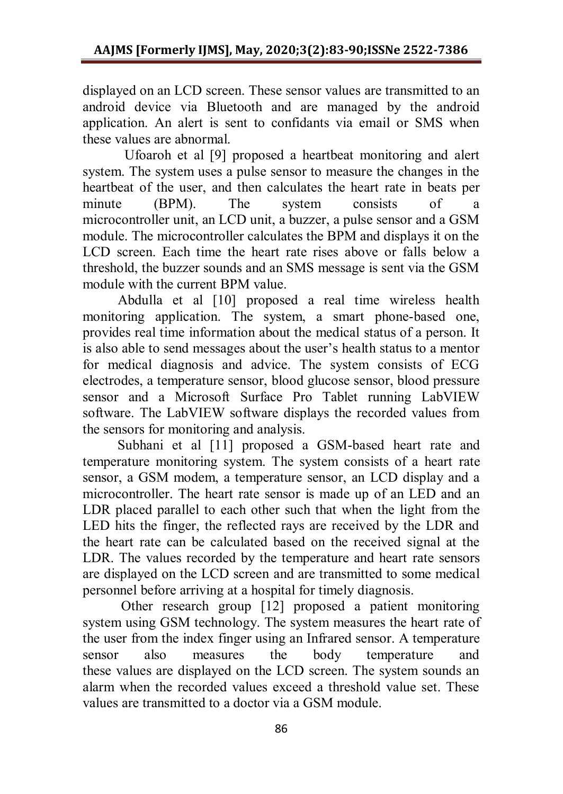displayed on an LCD screen. These sensor values are transmitted to an android device via Bluetooth and are managed by the android application. An alert is sent to confidants via email or SMS when these values are abnormal.

 Ufoaroh et al [9] proposed a heartbeat monitoring and alert system. The system uses a pulse sensor to measure the changes in the heartbeat of the user, and then calculates the heart rate in beats per minute (BPM). The system consists of a microcontroller unit, an LCD unit, a buzzer, a pulse sensor and a GSM module. The microcontroller calculates the BPM and displays it on the LCD screen. Each time the heart rate rises above or falls below a threshold, the buzzer sounds and an SMS message is sent via the GSM module with the current BPM value.

 Abdulla et al [10] proposed a real time wireless health monitoring application. The system, a smart phone-based one, provides real time information about the medical status of a person. It is also able to send messages about the user's health status to a mentor for medical diagnosis and advice. The system consists of ECG electrodes, a temperature sensor, blood glucose sensor, blood pressure sensor and a Microsoft Surface Pro Tablet running LabVIEW software. The LabVIEW software displays the recorded values from the sensors for monitoring and analysis.

 Subhani et al [11] proposed a GSM-based heart rate and temperature monitoring system. The system consists of a heart rate sensor, a GSM modem, a temperature sensor, an LCD display and a microcontroller. The heart rate sensor is made up of an LED and an LDR placed parallel to each other such that when the light from the LED hits the finger, the reflected rays are received by the LDR and the heart rate can be calculated based on the received signal at the LDR. The values recorded by the temperature and heart rate sensors are displayed on the LCD screen and are transmitted to some medical personnel before arriving at a hospital for timely diagnosis.

 Other research group [12] proposed a patient monitoring system using GSM technology. The system measures the heart rate of the user from the index finger using an Infrared sensor. A temperature sensor also measures the body temperature and these values are displayed on the LCD screen. The system sounds an alarm when the recorded values exceed a threshold value set. These values are transmitted to a doctor via a GSM module.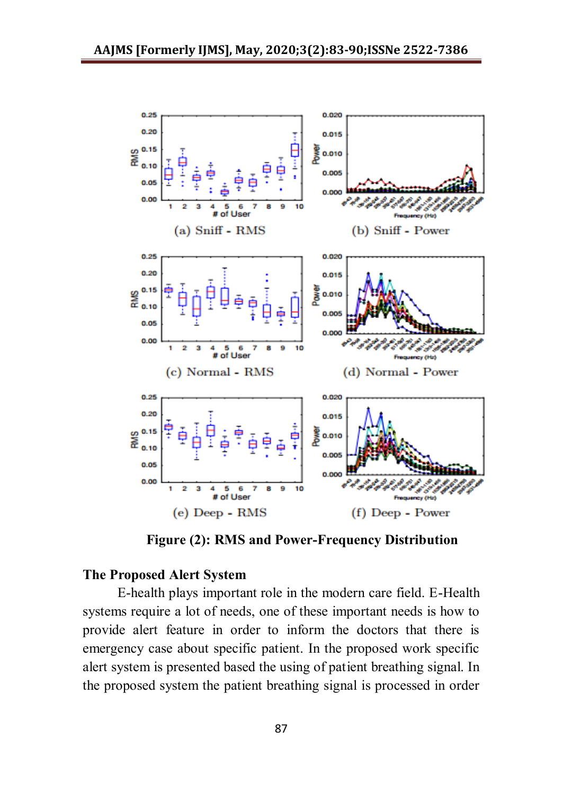

**Figure (2): RMS and Power-Frequency Distribution**

## **The Proposed Alert System**

 E-health plays important role in the modern care field. E-Health systems require a lot of needs, one of these important needs is how to provide alert feature in order to inform the doctors that there is emergency case about specific patient. In the proposed work specific alert system is presented based the using of patient breathing signal. In the proposed system the patient breathing signal is processed in order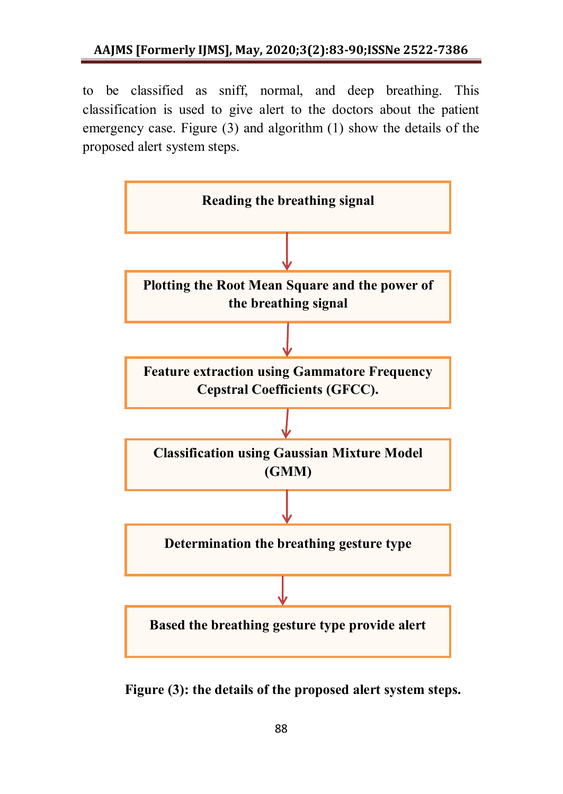to be classified as sniff, normal, and deep breathing. This classification is used to give alert to the doctors about the patient emergency case. Figure (3) and algorithm (1) show the details of the proposed alert system steps.



**Figure (3): the details of the proposed alert system steps.**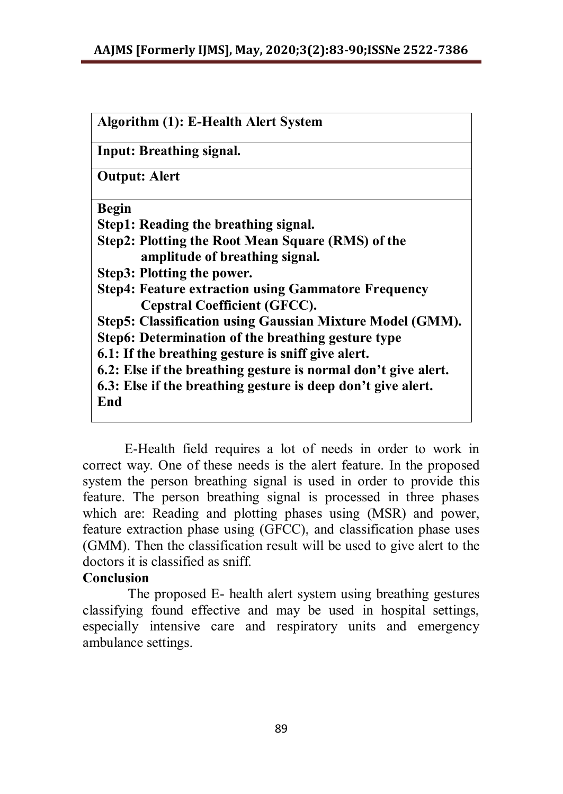| Algorithm (1): E-Health Alert System                           |
|----------------------------------------------------------------|
| <b>Input: Breathing signal.</b>                                |
| <b>Output: Alert</b>                                           |
| <b>Begin</b>                                                   |
| Step1: Reading the breathing signal.                           |
| Step2: Plotting the Root Mean Square (RMS) of the              |
| amplitude of breathing signal.                                 |
| Step3: Plotting the power.                                     |
| <b>Step4: Feature extraction using Gammatore Frequency</b>     |
| Cepstral Coefficient (GFCC).                                   |
| Step5: Classification using Gaussian Mixture Model (GMM).      |
| Step6: Determination of the breathing gesture type             |
| 6.1: If the breathing gesture is sniff give alert.             |
| 6.2: Else if the breathing gesture is normal don't give alert. |
| 6.3: Else if the breathing gesture is deep don't give alert.   |
| End                                                            |

 E-Health field requires a lot of needs in order to work in correct way. One of these needs is the alert feature. In the proposed system the person breathing signal is used in order to provide this feature. The person breathing signal is processed in three phases which are: Reading and plotting phases using (MSR) and power, feature extraction phase using (GFCC), and classification phase uses (GMM). Then the classification result will be used to give alert to the doctors it is classified as sniff.

## **Conclusion**

 The proposed E- health alert system using breathing gestures classifying found effective and may be used in hospital settings, especially intensive care and respiratory units and emergency ambulance settings.